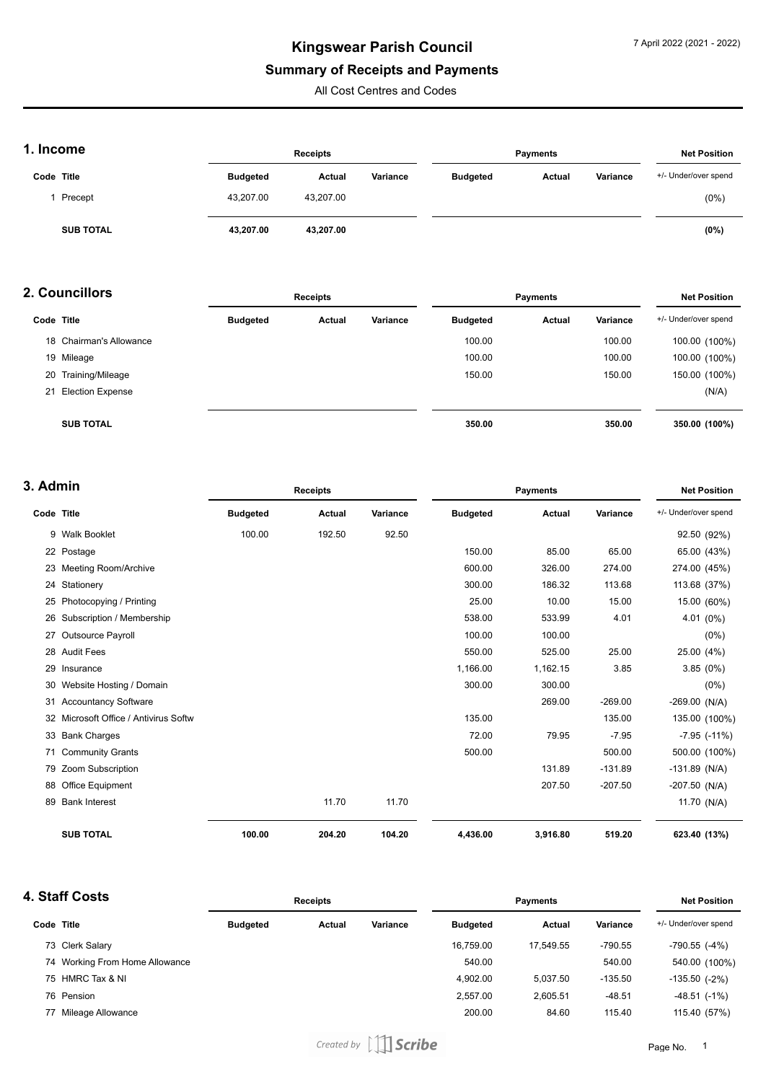#### **Summary of Receipts and Payments**

All Cost Centres and Codes

### **1. Income**

| . IIIUUIIIE      |                 | <b>Receipts</b> |          |                 | <b>Payments</b> |          | <b>Net Position</b>  |
|------------------|-----------------|-----------------|----------|-----------------|-----------------|----------|----------------------|
| Code Title       | <b>Budgeted</b> | Actual          | Variance | <b>Budgeted</b> | Actual          | Variance | +/- Under/over spend |
| Precept          | 43.207.00       | 43.207.00       |          |                 |                 |          | $(0\%)$              |
| <b>SUB TOTAL</b> | 43.207.00       | 43.207.00       |          |                 |                 |          | (0%)                 |

#### **2. Councillors**

|    | 2. Councillors          | <b>Receipts</b> |        |          | <b>Payments</b> | <b>Net Position</b> |          |                      |
|----|-------------------------|-----------------|--------|----------|-----------------|---------------------|----------|----------------------|
|    | Code Title              | <b>Budgeted</b> | Actual | Variance | <b>Budgeted</b> | Actual              | Variance | +/- Under/over spend |
|    | 18 Chairman's Allowance |                 |        |          | 100.00          |                     | 100.00   | 100.00 (100%)        |
|    | 19 Mileage              |                 |        |          | 100.00          |                     | 100.00   | 100.00 (100%)        |
|    | 20 Training/Mileage     |                 |        |          | 150.00          |                     | 150.00   | 150.00 (100%)        |
| 21 | <b>Election Expense</b> |                 |        |          |                 |                     |          | (N/A)                |
|    | <b>SUB TOTAL</b>        |                 |        |          | 350.00          |                     | 350.00   | 350.00 (100%)        |

### **3. Admin**

| Code Title |                                    | <b>Budgeted</b> |        |          |                 |          | <b>Payments</b> |                      |  |
|------------|------------------------------------|-----------------|--------|----------|-----------------|----------|-----------------|----------------------|--|
|            |                                    |                 | Actual | Variance | <b>Budgeted</b> | Actual   | Variance        | +/- Under/over spend |  |
|            | 9 Walk Booklet                     | 100.00          | 192.50 | 92.50    |                 |          |                 | 92.50 (92%)          |  |
|            | 22 Postage                         |                 |        |          | 150.00          | 85.00    | 65.00           | 65.00 (43%)          |  |
|            | 23 Meeting Room/Archive            |                 |        |          | 600.00          | 326.00   | 274.00          | 274.00 (45%)         |  |
|            | 24 Stationery                      |                 |        |          | 300.00          | 186.32   | 113.68          | 113.68 (37%)         |  |
|            | 25 Photocopying / Printing         |                 |        |          | 25.00           | 10.00    | 15.00           | 15.00 (60%)          |  |
|            | 26 Subscription / Membership       |                 |        |          | 538.00          | 533.99   | 4.01            | 4.01 (0%)            |  |
| 27         | <b>Outsource Payroll</b>           |                 |        |          | 100.00          | 100.00   |                 | $(0\%)$              |  |
|            | 28 Audit Fees                      |                 |        |          | 550.00          | 525.00   | 25.00           | 25.00 (4%)           |  |
| 29         | Insurance                          |                 |        |          | 1,166.00        | 1,162.15 | 3.85            | 3.85(0%)             |  |
| 30         | Website Hosting / Domain           |                 |        |          | 300.00          | 300.00   |                 | $(0\%)$              |  |
| 31         | <b>Accountancy Software</b>        |                 |        |          |                 | 269.00   | $-269.00$       | $-269.00$ (N/A)      |  |
| 32         | Microsoft Office / Antivirus Softw |                 |        |          | 135.00          |          | 135.00          | 135.00 (100%)        |  |
|            | 33 Bank Charges                    |                 |        |          | 72.00           | 79.95    | $-7.95$         | $-7.95$ $(-11\%)$    |  |
| 71         | <b>Community Grants</b>            |                 |        |          | 500.00          |          | 500.00          | 500.00 (100%)        |  |
|            | 79 Zoom Subscription               |                 |        |          |                 | 131.89   | $-131.89$       | $-131.89$ (N/A)      |  |
| 88         | Office Equipment                   |                 |        |          |                 | 207.50   | $-207.50$       | $-207.50$ (N/A)      |  |
| 89         | <b>Bank Interest</b>               |                 | 11.70  | 11.70    |                 |          |                 | 11.70 (N/A)          |  |
|            | <b>SUB TOTAL</b>                   | 100.00          | 204.20 | 104.20   | 4,436.00        | 3,916.80 | 519.20          | 623.40 (13%)         |  |

## **4. Staff Costs**

|            | . Staff Costs                  | <b>Receipts</b> |        |          |                 | <b>Net Position</b> |           |                      |
|------------|--------------------------------|-----------------|--------|----------|-----------------|---------------------|-----------|----------------------|
| Code Title |                                | <b>Budgeted</b> | Actual | Variance | <b>Budgeted</b> | Actual              | Variance  | +/- Under/over spend |
|            | 73 Clerk Salary                |                 |        |          | 16.759.00       | 17.549.55           | $-790.55$ | $-790.55$ $(-4%)$    |
|            | 74 Working From Home Allowance |                 |        |          | 540.00          |                     | 540.00    | 540.00 (100%)        |
|            | 75 HMRC Tax & NI               |                 |        |          | 4.902.00        | 5.037.50            | $-135.50$ | $-135.50$ $(-2%)$    |
|            | 76 Pension                     |                 |        |          | 2,557.00        | 2,605.51            | $-48.51$  | $-48.51$ $(-1%)$     |
| 77         | Mileage Allowance              |                 |        |          | 200.00          | 84.60               | 115.40    | 115.40 (57%)         |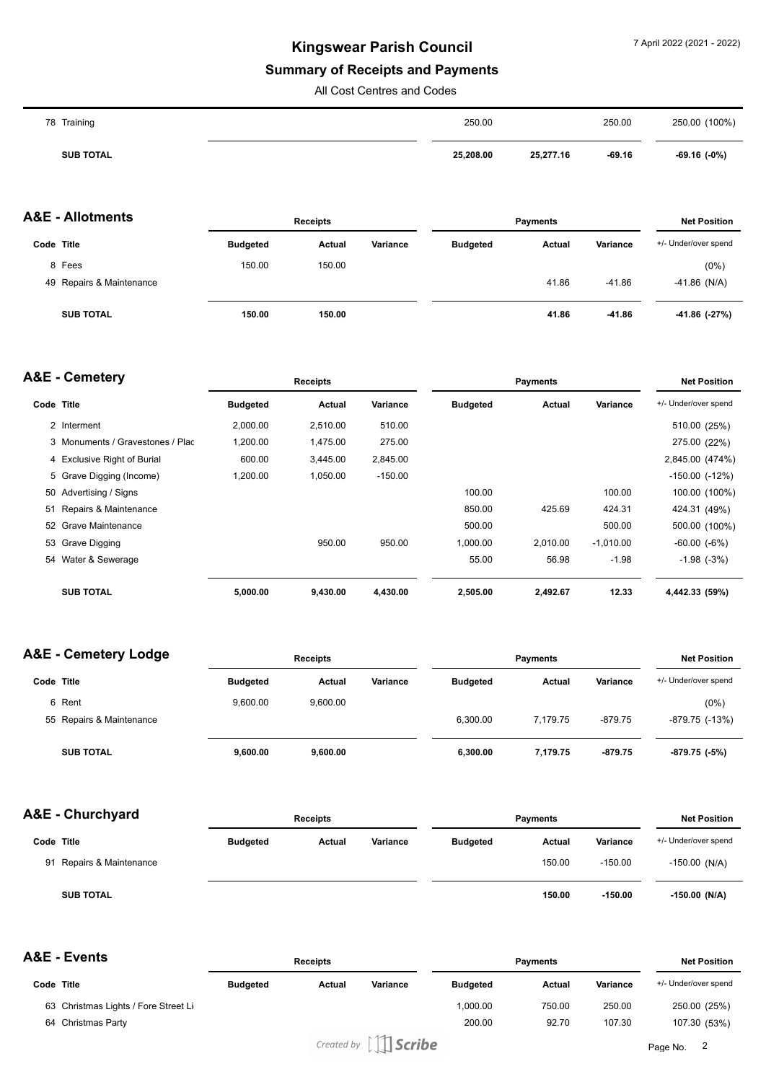#### **Summary of Receipts and Payments**

All Cost Centres and Codes

| 78 Training      | 250.00    |           | 250.00   | 250.00 (100%)    |
|------------------|-----------|-----------|----------|------------------|
| <b>SUB TOTAL</b> | 25,208.00 | 25,277.16 | $-69.16$ | $-69.16$ $(-0%)$ |

|            | <b>A&amp;E - Allotments</b> |                 | <b>Receipts</b> |          | <b>Payments</b> |        |          | <b>Net Position</b>  |  |
|------------|-----------------------------|-----------------|-----------------|----------|-----------------|--------|----------|----------------------|--|
| Code Title |                             | <b>Budgeted</b> | Actual          | Variance | <b>Budgeted</b> | Actual | Variance | +/- Under/over spend |  |
|            | 8 Fees                      | 150.00          | 150.00          |          |                 |        |          | (0%)                 |  |
|            | 49 Repairs & Maintenance    |                 |                 |          |                 | 41.86  | $-41.86$ | -41.86 (N/A)         |  |
|            | <b>SUB TOTAL</b>            | 150.00          | 150.00          |          |                 | 41.86  | $-41.86$ | -41.86 (-27%)        |  |

#### **A&E - Cemetery Code Title Budgeted Actual Variance Receipts Payments Budgeted Actual Variance Net Position** +/- Under/over spend 2 Interment 2,000.00 2,510.00 510.00 510.00 (25%) 3 Monuments / Gravestones / Plac 1,200.00 1,475.00 275.00 275.00 275.00 275.00 275.00 275.00 275.00 4 Exclusive Right of Burial 600.00 3,445.00 2,845.00 2,845.00 (474%) 5 Grave Digging (Income) 1,200.00 1,050.00 -150.00 -150.00 (-12%) 50 Advertising / Signs 100.00 100.00 100.00 (100%) 51 Repairs & Maintenance 850.00 425.69 424.31 424.31 (49%) 52 Grave Maintenance 500.00 500.00 500.00 (100%) 53 Grave Digging 950.00 950.00 1,000.00 2,010.00 -1,010.00 -60.00 (-6%) 54 Water & Sewerage 55.00 56.98 -1.98 -1.98 (-3%) **SUB TOTAL 5,000.00 9,430.00 4,430.00 2,505.00 2,492.67 12.33 4,442.33 (59%)**

|            | <b>A&amp;E - Cemetery Lodge</b> |                 | <b>Receipts</b> |          |                 | <b>Payments</b> |           | <b>Net Position</b>  |
|------------|---------------------------------|-----------------|-----------------|----------|-----------------|-----------------|-----------|----------------------|
| Code Title |                                 | <b>Budgeted</b> | Actual          | Variance | <b>Budgeted</b> | <b>Actual</b>   | Variance  | +/- Under/over spend |
|            | 6 Rent                          | 9.600.00        | 9.600.00        |          |                 |                 |           | $(0\%)$              |
|            | 55 Repairs & Maintenance        |                 |                 |          | 6.300.00        | 7.179.75        | -879.75   | -879.75 (-13%)       |
|            | <b>SUB TOTAL</b>                | 9,600.00        | 9,600.00        |          | 6,300.00        | 7,179.75        | $-879.75$ | -879.75 (-5%)        |

| A&E - Churchyard |                          | <b>Receipts</b> |               |          | <b>Payments</b> |        |           | <b>Net Position</b>  |  |
|------------------|--------------------------|-----------------|---------------|----------|-----------------|--------|-----------|----------------------|--|
| Code Title       |                          | <b>Budgeted</b> | <b>Actual</b> | Variance | <b>Budgeted</b> | Actual | Variance  | +/- Under/over spend |  |
|                  | 91 Repairs & Maintenance |                 |               |          |                 | 150.00 | $-150.00$ | $-150.00$ (N/A)      |  |
|                  | <b>SUB TOTAL</b>         |                 |               |          |                 | 150.00 | $-150.00$ | $-150.00$ (N/A)      |  |

**A&E - Events**

|            | NGE - EVEIILS                        | <b>Receipts</b> |        |             | <b>Pavments</b> |        |          | <b>Net Position</b>  |  |
|------------|--------------------------------------|-----------------|--------|-------------|-----------------|--------|----------|----------------------|--|
| Code Title |                                      | <b>Budgeted</b> | Actual | Variance    | <b>Budgeted</b> | Actual | Variance | +/- Under/over spend |  |
|            | 63 Christmas Lights / Fore Street Li |                 |        |             | 00.000.1        | 750.00 | 250.00   | 250.00 (25%)         |  |
|            | 64 Christmas Party                   |                 |        |             | 200.00          | 92.70  | 107.30   | 107.30 (53%)         |  |
|            |                                      |                 |        | $\sim$ $AA$ |                 |        |          |                      |  |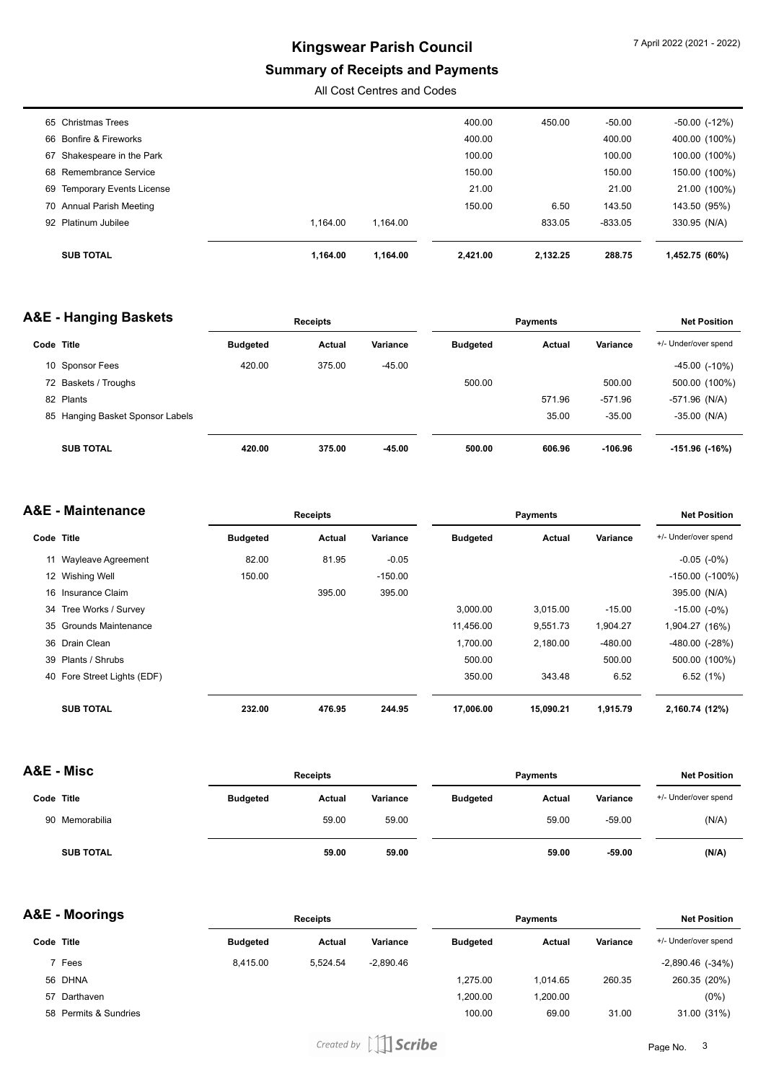## **Summary of Receipts and Payments**

All Cost Centres and Codes

| 65 Christmas Trees          |          |          | 400.00   | 450.00   | -50.00    | $-50.00$ $(-12%)$ |
|-----------------------------|----------|----------|----------|----------|-----------|-------------------|
| 66 Bonfire & Fireworks      |          |          | 400.00   |          | 400.00    | 400.00 (100%)     |
| 67 Shakespeare in the Park  |          |          | 100.00   |          | 100.00    | 100.00 (100%)     |
| 68 Remembrance Service      |          |          | 150.00   |          | 150.00    | 150.00 (100%)     |
| 69 Temporary Events License |          |          | 21.00    |          | 21.00     | 21.00 (100%)      |
| 70 Annual Parish Meeting    |          |          | 150.00   | 6.50     | 143.50    | 143.50 (95%)      |
| 92 Platinum Jubilee         | 1.164.00 | 1.164.00 |          | 833.05   | $-833.05$ | 330.95 (N/A)      |
|                             |          |          |          |          |           |                   |
| <b>SUB TOTAL</b>            | 1.164.00 | 1.164.00 | 2.421.00 | 2.132.25 | 288.75    | 1,452.75 (60%)    |
|                             |          |          |          |          |           |                   |

#### **A&E - Hanging Baskets**

| <b>\&amp;E - Hanging Baskets</b> |                 | <b>Receipts</b> |          |                 | <b>Payments</b> |           | <b>Net Position</b>  |
|----------------------------------|-----------------|-----------------|----------|-----------------|-----------------|-----------|----------------------|
| Code Title                       | <b>Budgeted</b> | Actual          | Variance | <b>Budgeted</b> | Actual          | Variance  | +/- Under/over spend |
| 10 Sponsor Fees                  | 420.00          | 375.00          | $-45.00$ |                 |                 |           | $-45.00$ $(-10\%)$   |
| 72 Baskets / Troughs             |                 |                 |          | 500.00          |                 | 500.00    | 500.00 (100%)        |
| 82 Plants                        |                 |                 |          |                 | 571.96          | $-571.96$ | $-571.96$ (N/A)      |
| 85 Hanging Basket Sponsor Labels |                 |                 |          |                 | 35.00           | $-35.00$  | $-35.00$ (N/A)       |
| <b>SUB TOTAL</b>                 | 420.00          | 375.00          | $-45.00$ | 500.00          | 606.96          | $-106.96$ | -151.96 (-16%)       |

| A&E - Maintenance |                             | Receipts        |        |           |                 | <b>Net Position</b> |           |                        |
|-------------------|-----------------------------|-----------------|--------|-----------|-----------------|---------------------|-----------|------------------------|
| Code Title        |                             | <b>Budgeted</b> | Actual | Variance  | <b>Budgeted</b> | <b>Actual</b>       | Variance  | +/- Under/over spend   |
|                   | 11 Wayleave Agreement       | 82.00           | 81.95  | $-0.05$   |                 |                     |           | $-0.05$ $(-0\%)$       |
|                   | 12 Wishing Well             | 150.00          |        | $-150.00$ |                 |                     |           | $-150.00$ ( $-100\%$ ) |
|                   | 16 Insurance Claim          |                 | 395.00 | 395.00    |                 |                     |           | 395.00 (N/A)           |
|                   | 34 Tree Works / Survey      |                 |        |           | 3.000.00        | 3,015.00            | $-15.00$  | $-15.00$ $(-0\%)$      |
|                   | 35 Grounds Maintenance      |                 |        |           | 11,456.00       | 9,551.73            | 1,904.27  | 1,904.27 (16%)         |
|                   | 36 Drain Clean              |                 |        |           | 1,700.00        | 2,180.00            | $-480.00$ | $-480.00$ $(-28%)$     |
|                   | 39 Plants / Shrubs          |                 |        |           | 500.00          |                     | 500.00    | 500.00 (100%)          |
|                   | 40 Fore Street Lights (EDF) |                 |        |           | 350.00          | 343.48              | 6.52      | 6.52(1%)               |
|                   | <b>SUB TOTAL</b>            | 232.00          | 476.95 | 244.95    | 17,006.00       | 15,090.21           | 1,915.79  | 2,160.74 (12%)         |

| A&E - Misc |                  | <b>Receipts</b> |        |          | <b>Payments</b> |        |          | <b>Net Position</b>  |
|------------|------------------|-----------------|--------|----------|-----------------|--------|----------|----------------------|
| Code Title |                  | <b>Budgeted</b> | Actual | Variance | <b>Budgeted</b> | Actual | Variance | +/- Under/over spend |
|            | 90 Memorabilia   |                 | 59.00  | 59.00    |                 | 59.00  | $-59.00$ | (N/A)                |
|            | <b>SUB TOTAL</b> |                 | 59.00  | 59.00    |                 | 59.00  | $-59.00$ | (N/A)                |

| A&E - Moorings | <b>Receipts</b>                                                          |          |             | <b>Payments</b> |          |          | <b>Net Position</b>  |  |
|----------------|--------------------------------------------------------------------------|----------|-------------|-----------------|----------|----------|----------------------|--|
|                | <b>Budgeted</b>                                                          | Actual   | Variance    | <b>Budgeted</b> | Actual   | Variance | +/- Under/over spend |  |
|                | 8.415.00                                                                 | 5.524.54 | $-2.890.46$ |                 |          |          | $-2,890.46$ $(-34%)$ |  |
|                |                                                                          |          |             | 1.275.00        | 1.014.65 | 260.35   | 260.35 (20%)         |  |
|                |                                                                          |          |             | 1,200.00        | 1,200.00 |          | (0%)                 |  |
|                |                                                                          |          |             | 100.00          | 69.00    | 31.00    | 31.00 (31%)          |  |
|                | Code Title<br>7 Fees<br>56 DHNA<br>57 Darthaven<br>58 Permits & Sundries |          |             |                 |          |          |                      |  |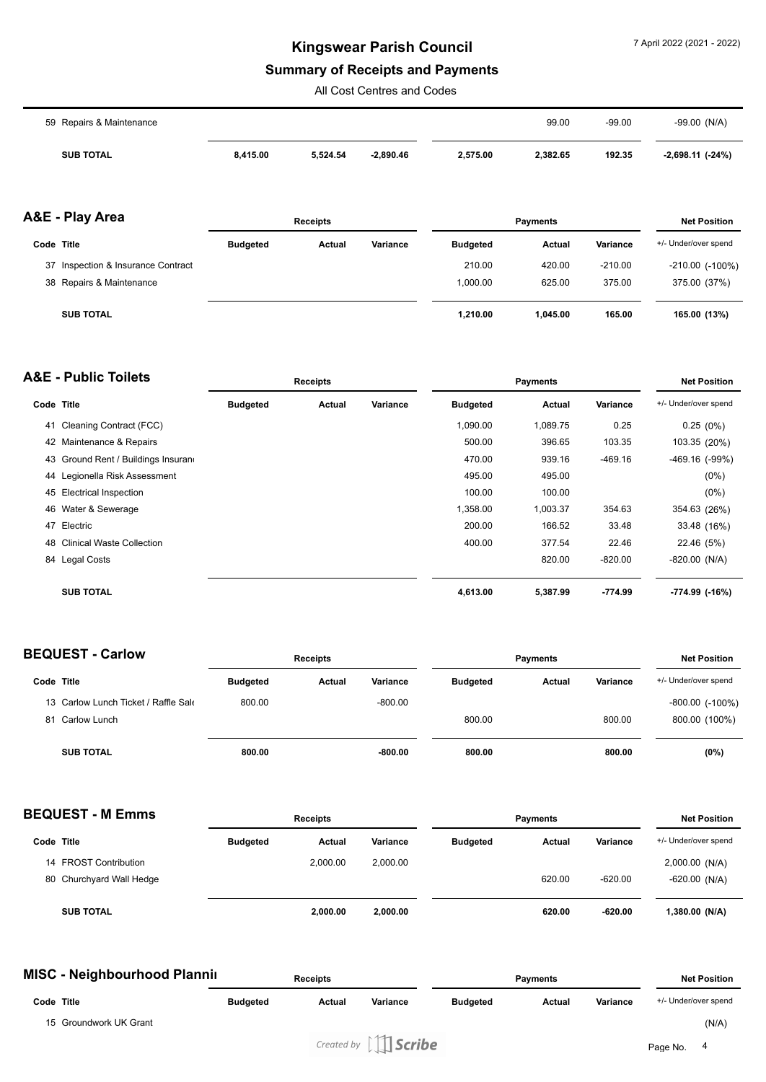# **Summary of Receipts and Payments**

All Cost Centres and Codes

| 59 Repairs & Maintenance |          |          |             |          | 99.00    | $-99.00$ | $-99.00$ (N/A)   |
|--------------------------|----------|----------|-------------|----------|----------|----------|------------------|
| <b>SUB TOTAL</b>         | 8,415.00 | 5.524.54 | $-2,890.46$ | 2,575.00 | 2,382.65 | 192.35   | -2,698.11 (-24%) |

|            | A&E - Play Area                    | <b>Receipts</b> |        |          | <b>Payments</b> |          |           | <b>Net Position</b>    |  |
|------------|------------------------------------|-----------------|--------|----------|-----------------|----------|-----------|------------------------|--|
| Code Title |                                    | <b>Budgeted</b> | Actual | Variance | <b>Budgeted</b> | Actual   | Variance  | +/- Under/over spend   |  |
|            | 37 Inspection & Insurance Contract |                 |        |          | 210.00          | 420.00   | $-210.00$ | $-210.00$ ( $-100\%$ ) |  |
|            | 38 Repairs & Maintenance           |                 |        |          | 1.000.00        | 625.00   | 375.00    | 375.00 (37%)           |  |
|            | <b>SUB TOTAL</b>                   |                 |        |          | 1.210.00        | 1.045.00 | 165.00    | 165.00 (13%)           |  |

|            | <b>A&amp;E - Public Toilets</b>     |                 | <b>Receipts</b> |          |                 | <b>Payments</b> |           | <b>Net Position</b>  |
|------------|-------------------------------------|-----------------|-----------------|----------|-----------------|-----------------|-----------|----------------------|
| Code Title |                                     | <b>Budgeted</b> | Actual          | Variance | <b>Budgeted</b> | Actual          | Variance  | +/- Under/over spend |
| 41         | Cleaning Contract (FCC)             |                 |                 |          | 1,090.00        | 1,089.75        | 0.25      | 0.25(0%)             |
|            | 42 Maintenance & Repairs            |                 |                 |          | 500.00          | 396.65          | 103.35    | 103.35 (20%)         |
|            | 43 Ground Rent / Buildings Insurano |                 |                 |          | 470.00          | 939.16          | $-469.16$ | $-469.16$ $(-99%)$   |
|            | 44 Legionella Risk Assessment       |                 |                 |          | 495.00          | 495.00          |           | $(0\%)$              |
|            | 45 Electrical Inspection            |                 |                 |          | 100.00          | 100.00          |           | $(0\%)$              |
|            | 46 Water & Sewerage                 |                 |                 |          | 1,358.00        | 1,003.37        | 354.63    | 354.63 (26%)         |
| 47         | Electric                            |                 |                 |          | 200.00          | 166.52          | 33.48     | 33.48 (16%)          |
|            | 48 Clinical Waste Collection        |                 |                 |          | 400.00          | 377.54          | 22.46     | 22.46 (5%)           |
|            | 84 Legal Costs                      |                 |                 |          |                 | 820.00          | $-820.00$ | $-820.00$ (N/A)      |
|            | <b>SUB TOTAL</b>                    |                 |                 |          | 4,613.00        | 5,387.99        | $-774.99$ | -774.99 (-16%)       |

|            | <b>BEQUEST - Carlow</b>              | <b>Receipts</b> |        |           | <b>Payments</b> |        |          | <b>Net Position</b>  |  |
|------------|--------------------------------------|-----------------|--------|-----------|-----------------|--------|----------|----------------------|--|
| Code Title |                                      | <b>Budgeted</b> | Actual | Variance  | <b>Budgeted</b> | Actual | Variance | +/- Under/over spend |  |
|            | 13 Carlow Lunch Ticket / Raffle Sale | 800.00          |        | $-800.00$ |                 |        |          | $-800.00$ $(-100\%)$ |  |
|            | 81 Carlow Lunch                      |                 |        |           | 800.00          |        | 800.00   | 800.00 (100%)        |  |
|            | <b>SUB TOTAL</b>                     | 800.00          |        | $-800.00$ | 800.00          |        | 800.00   | (0%)                 |  |

| <b>BEQUEST - M Emms</b> |                          |                 | <b>Receipts</b> |          | <b>Payments</b> |        |           | <b>Net Position</b>  |  |
|-------------------------|--------------------------|-----------------|-----------------|----------|-----------------|--------|-----------|----------------------|--|
| Code Title              |                          | <b>Budgeted</b> | Actual          | Variance | <b>Budgeted</b> | Actual | Variance  | +/- Under/over spend |  |
|                         | 14 FROST Contribution    |                 | 2,000.00        | 2,000.00 |                 |        |           | 2,000.00(N/A)        |  |
|                         | 80 Churchyard Wall Hedge |                 |                 |          |                 | 620.00 | $-620.00$ | $-620.00$ (N/A)      |  |
|                         | <b>SUB TOTAL</b>         |                 | 2.000.00        | 2,000.00 |                 | 620.00 | $-620.00$ | 1,380.00 (N/A)       |  |

| <b>MISC - Neighbourhood Plannii</b> | <b>Receipts</b> |        |                                                                | Payments        |        |          | <b>Net Position</b>  |       |
|-------------------------------------|-----------------|--------|----------------------------------------------------------------|-----------------|--------|----------|----------------------|-------|
| Code Title                          | <b>Budgeted</b> | Actual | Variance                                                       | <b>Budgeted</b> | Actual | Variance | +/- Under/over spend |       |
| 15 Groundwork UK Grant              |                 |        |                                                                |                 |        |          |                      | (N/A) |
|                                     |                 |        | Created by $\left[\begin{array}{c c}\end{array}\right]$ Scribe |                 |        |          | Page No.             | 4     |